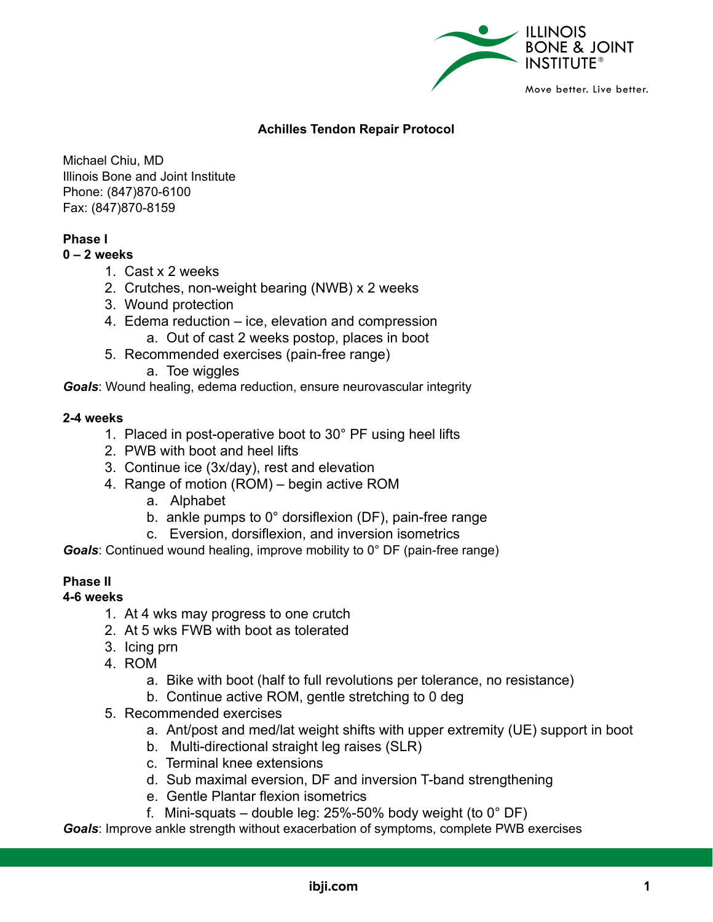

# **Achilles Tendon Repair Protocol**

Michael Chiu, MD Illinois Bone and Joint Institute Phone: (847)870-6100 Fax: (847)870-8159

# **Phase I**

#### **0 – 2 weeks**

- 1. Cast x 2 weeks
- 2. Crutches, non-weight bearing (NWB) x 2 weeks
- 3. Wound protection
- 4. Edema reduction ice, elevation and compression
	- a. Out of cast 2 weeks postop, places in boot
- 5. Recommended exercises (pain-free range)
	- a. Toe wiggles

*Goals*: Wound healing, edema reduction, ensure neurovascular integrity

#### **2-4 weeks**

- 1. Placed in post-operative boot to 30° PF using heel lifts
- 2. PWB with boot and heel lifts
- 3. Continue ice (3x/day), rest and elevation
- 4. Range of motion (ROM) begin active ROM
	- a. Alphabet
	- b. ankle pumps to 0° dorsiflexion (DF), pain-free range
	- c. Eversion, dorsiflexion, and inversion isometrics

*Goals*: Continued wound healing, improve mobility to 0° DF (pain-free range)

# **Phase II**

#### **4-6 weeks**

- 1. At 4 wks may progress to one crutch
- 2. At 5 wks FWB with boot as tolerated
- 3. Icing prn
- 4. ROM
	- a. Bike with boot (half to full revolutions per tolerance, no resistance)
	- b. Continue active ROM, gentle stretching to 0 deg
- 5. Recommended exercises
	- a. Ant/post and med/lat weight shifts with upper extremity (UE) support in boot
	- b. Multi-directional straight leg raises (SLR)
	- c. Terminal knee extensions
	- d. Sub maximal eversion, DF and inversion T-band strengthening
	- e. Gentle Plantar flexion isometrics
	- f. Mini-squats double leg:  $25\%$ -50% body weight (to  $0^{\circ}$  DF)

*Goals*: Improve ankle strength without exacerbation of symptoms, complete PWB exercises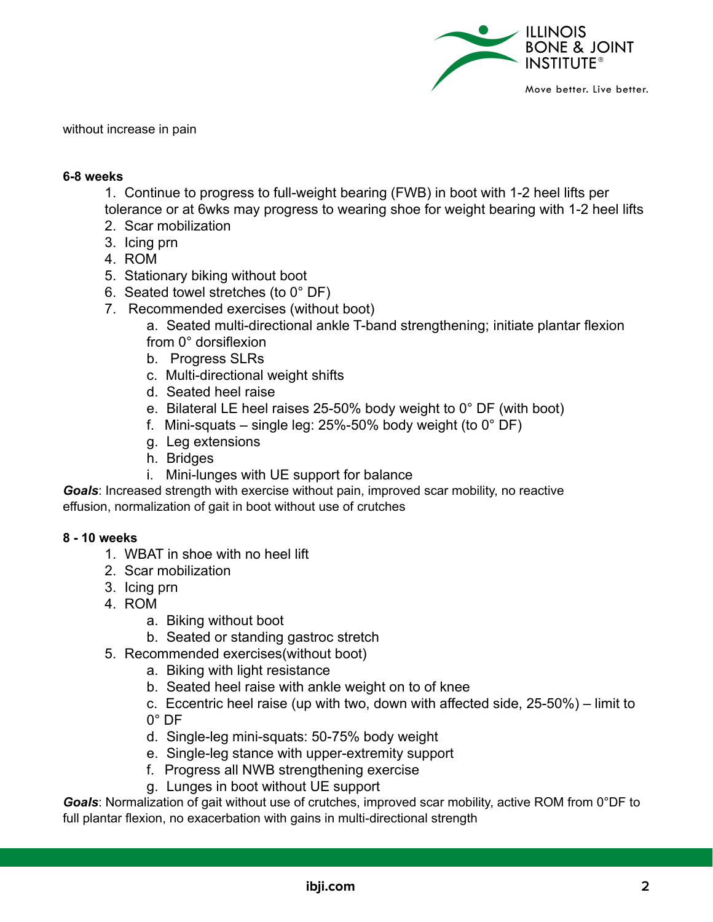

without increase in pain

### **6-8 weeks**

1. Continue to progress to full-weight bearing (FWB) in boot with 1-2 heel lifts per tolerance or at 6wks may progress to wearing shoe for weight bearing with 1-2 heel lifts

- 2. Scar mobilization
- 3. Icing prn
- 4. ROM
- 5. Stationary biking without boot
- 6. Seated towel stretches (to 0° DF)
- 7. Recommended exercises (without boot)

a. Seated multi-directional ankle T-band strengthening; initiate plantar flexion from 0° dorsiflexion

- b. Progress SLRs
- c. Multi-directional weight shifts
- d. Seated heel raise
- e. Bilateral LE heel raises 25-50% body weight to 0° DF (with boot)
- f. Mini-squats single leg:  $25\%$ -50% body weight (to 0 $^{\circ}$  DF)
- g. Leg extensions
- h. Bridges
- i. Mini-lunges with UE support for balance

*Goals*: Increased strength with exercise without pain, improved scar mobility, no reactive effusion, normalization of gait in boot without use of crutches

## **8 - 10 weeks**

- 1. WBAT in shoe with no heel lift
- 2. Scar mobilization
- 3. Icing prn
- 4. ROM
	- a. Biking without boot
	- b. Seated or standing gastroc stretch
- 5. Recommended exercises(without boot)
	- a. Biking with light resistance
	- b. Seated heel raise with ankle weight on to of knee
	- c. Eccentric heel raise (up with two, down with affected side, 25-50%) limit to  $0^\circ$  DF
	-
	- d. Single-leg mini-squats: 50-75% body weight
	- e. Single-leg stance with upper-extremity support
	- f. Progress all NWB strengthening exercise
	- g. Lunges in boot without UE support

*Goals*: Normalization of gait without use of crutches, improved scar mobility, active ROM from 0°DF to full plantar flexion, no exacerbation with gains in multi-directional strength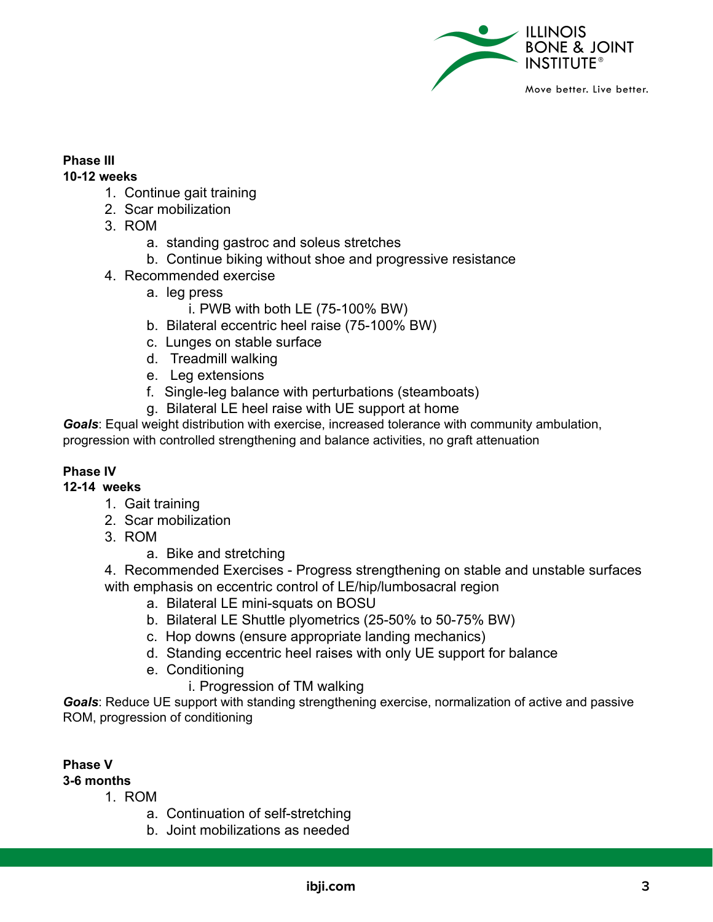

# **Phase III**

## **10-12 weeks**

- 1. Continue gait training
- 2. Scar mobilization
- 3. ROM
	- a. standing gastroc and soleus stretches
	- b. Continue biking without shoe and progressive resistance
- 4. Recommended exercise
	- a. leg press
		- i. PWB with both LE (75-100% BW)
	- b. Bilateral eccentric heel raise (75-100% BW)
	- c. Lunges on stable surface
	- d. Treadmill walking
	- e. Leg extensions
	- f. Single-leg balance with perturbations (steamboats)
	- g. Bilateral LE heel raise with UE support at home

*Goals*: Equal weight distribution with exercise, increased tolerance with community ambulation, progression with controlled strengthening and balance activities, no graft attenuation

# **Phase IV**

# **12-14 weeks**

- 1. Gait training
- 2. Scar mobilization
- 3. ROM
	- a. Bike and stretching

4. Recommended Exercises - Progress strengthening on stable and unstable surfaces with emphasis on eccentric control of LE/hip/lumbosacral region

- a. Bilateral LE mini-squats on BOSU
- b. Bilateral LE Shuttle plyometrics (25-50% to 50-75% BW)
- c. Hop downs (ensure appropriate landing mechanics)
- d. Standing eccentric heel raises with only UE support for balance
- e. Conditioning
	- i. Progression of TM walking

*Goals*: Reduce UE support with standing strengthening exercise, normalization of active and passive ROM, progression of conditioning

# **Phase V**

# **3-6 months**

- 1. ROM
	- a. Continuation of self-stretching
	- b. Joint mobilizations as needed